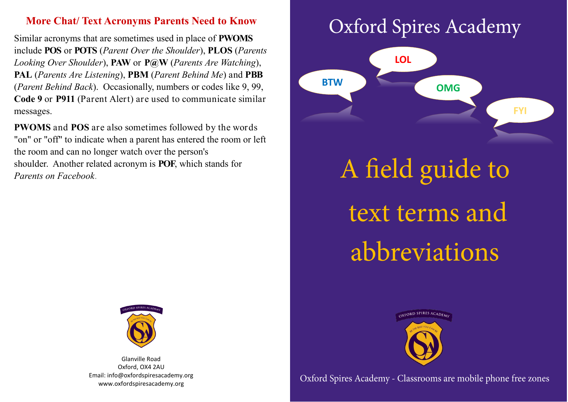## **More Chat/ Text Acronyms Parents Need to Know**

Similar acronyms that are sometimes used in place of **PWOMS**  include **POS** or **POTS** (*Parent Over the Shoulder*), **PLOS** (*Parents Looking Over Shoulder*), **PAW** or **P@W** (*Parents Are Watching*), **PAL** (*Parents Are Listening*), **PBM** (*Parent Behind Me*) and **PBB** (*Parent Behind Back*). Occasionally, numbers or codes like 9, 99, **Code 9** or **P911** (Parent Alert) are used to communicate similar messages.

**PWOMS** and **POS** are also sometimes followed by the words "on" or "off" to indicate when a parent has entered the room or left the room and can no longer watch over the person's shoulder. Another related acronym is **POF**, which stands for *Parents on Facebook*.

## **Oxford Spires Academy**



A field guide to text terms and abbreviations



Oxford Spires Academy - Classrooms are mobile phone free zones



Glanville Road Oxford, OX4 2AU Email: info@oxfordspiresacademy.org www.oxfordspiresacademy.org